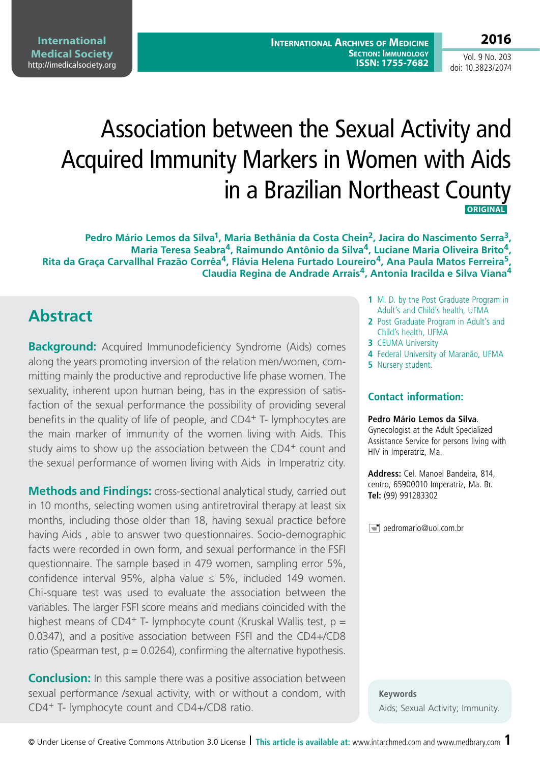**2016** Vol. 9 No. 203

doi: 10.3823/2074

# Association between the Sexual Activity and Acquired Immunity Markers in Women with Aids in a Brazilian Northeast County  **ORIGINAL**

**Pedro Mário Lemos da Silva1, Maria Bethânia da Costa Chein2, Jacira do Nascimento Serra3, Maria Teresa Seabra4, Raimundo Antônio da Silva4, Luciane Maria Oliveira Brito4, Rita da Graça Carvallhal Frazão Corrêa4, Flávia Helena Furtado Loureiro4, Ana Paula Matos Ferreira5, Claudia Regina de Andrade Arrais4, Antonia Iracilda e Silva Viana4**

# **Abstract**

**Background:** Acquired Immunodeficiency Syndrome (Aids) comes along the years promoting inversion of the relation men/women, committing mainly the productive and reproductive life phase women. The sexuality, inherent upon human being, has in the expression of satisfaction of the sexual performance the possibility of providing several benefits in the quality of life of people, and CD4<sup>+</sup> T- lymphocytes are the main marker of immunity of the women living with Aids. This study aims to show up the association between the CD4<sup>+</sup> count and the sexual performance of women living with Aids in Imperatriz city.

**Methods and Findings:** cross-sectional analytical study, carried out in 10 months, selecting women using antiretroviral therapy at least six months, including those older than 18, having sexual practice before having Aids , able to answer two questionnaires. Socio-demographic facts were recorded in own form, and sexual performance in the FSFI questionnaire. The sample based in 479 women, sampling error 5%, confidence interval 95%, alpha value  $\leq$  5%, included 149 women. Chi-square test was used to evaluate the association between the variables. The larger FSFI score means and medians coincided with the highest means of CD4<sup>+</sup> T- lymphocyte count (Kruskal Wallis test,  $p =$ 0.0347), and a positive association between FSFI and the CD4+/CD8 ratio (Spearman test,  $p = 0.0264$ ), confirming the alternative hypothesis.

**Conclusion:** In this sample there was a positive association between sexual performance /sexual activity, with or without a condom, with CD4+ T- lymphocyte count and CD4+/CD8 ratio.

- **1** M. D. by the Post Graduate Program in Adult's and Child's health, UFMA
- **2** Post Graduate Program in Adult's and Child's health, UFMA
- **3** CEUMA University
- **4** Federal University of Maranão, UFMA
- **5** Nursery student.

#### **Contact information:**

#### **Pedro Mário Lemos da Silva**.

Gynecologist at the Adult Specialized Assistance Service for persons living with HIV in Imperatriz, Ma.

**Address:** Cel. Manoel Bandeira, 814, centro, 65900010 Imperatriz, Ma. Br. **Tel:** (99) 991283302

 $\equiv$  pedromario@uol.com.br

**Keywords** Aids; Sexual Activity; Immunity.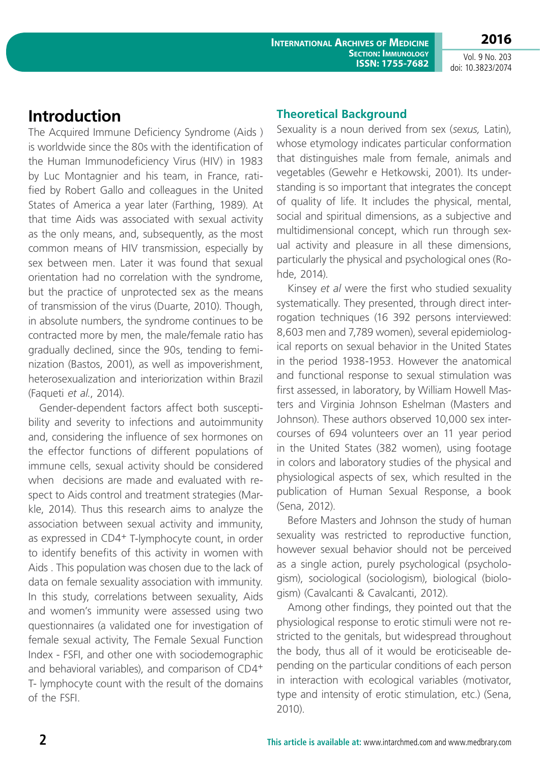## **Introduction**

The Acquired Immune Deficiency Syndrome (Aids ) is worldwide since the 80s with the identification of the Human Immunodeficiency Virus (HIV) in 1983 by Luc Montagnier and his team, in France, ratified by Robert Gallo and colleagues in the United States of America a year later (Farthing, 1989). At that time Aids was associated with sexual activity as the only means, and, subsequently, as the most common means of HIV transmission, especially by sex between men. Later it was found that sexual orientation had no correlation with the syndrome, but the practice of unprotected sex as the means of transmission of the virus (Duarte, 2010). Though, in absolute numbers, the syndrome continues to be contracted more by men, the male/female ratio has gradually declined, since the 90s, tending to feminization (Bastos, 2001), as well as impoverishment, heterosexualization and interiorization within Brazil (Faqueti *et al.*, 2014).

Gender-dependent factors affect both susceptibility and severity to infections and autoimmunity and, considering the influence of sex hormones on the effector functions of different populations of immune cells, sexual activity should be considered when decisions are made and evaluated with respect to Aids control and treatment strategies (Markle, 2014). Thus this research aims to analyze the association between sexual activity and immunity, as expressed in CD4+ T-lymphocyte count, in order to identify benefits of this activity in women with Aids . This population was chosen due to the lack of data on female sexuality association with immunity. In this study, correlations between sexuality, Aids and women's immunity were assessed using two questionnaires (a validated one for investigation of female sexual activity, The Female Sexual Function Index - FSFI, and other one with sociodemographic and behavioral variables), and comparison of CD4<sup>+</sup> T- lymphocyte count with the result of the domains of the FSFI.

#### **Theoretical Background**

Sexuality is a noun derived from sex (*sexus,* Latin), whose etymology indicates particular conformation that distinguishes male from female, animals and vegetables (Gewehr e Hetkowski, 2001). Its understanding is so important that integrates the concept of quality of life. It includes the physical, mental, social and spiritual dimensions, as a subjective and multidimensional concept, which run through sexual activity and pleasure in all these dimensions, particularly the physical and psychological ones (Rohde, 2014).

Kinsey *et al* were the first who studied sexuality systematically. They presented, through direct interrogation techniques (16 392 persons interviewed: 8,603 men and 7,789 women), several epidemiological reports on sexual behavior in the United States in the period 1938-1953. However the anatomical and functional response to sexual stimulation was first assessed, in laboratory, by William Howell Masters and Virginia Johnson Eshelman (Masters and Johnson). These authors observed 10,000 sex intercourses of 694 volunteers over an 11 year period in the United States (382 women), using footage in colors and laboratory studies of the physical and physiological aspects of sex, which resulted in the publication of Human Sexual Response, a book (Sena, 2012).

Before Masters and Johnson the study of human sexuality was restricted to reproductive function, however sexual behavior should not be perceived as a single action, purely psychological (psychologism), sociological (sociologism), biological (biologism) (Cavalcanti & Cavalcanti, 2012).

Among other findings, they pointed out that the physiological response to erotic stimuli were not restricted to the genitals, but widespread throughout the body, thus all of it would be eroticiseable depending on the particular conditions of each person in interaction with ecological variables (motivator, type and intensity of erotic stimulation, etc.) (Sena, 2010).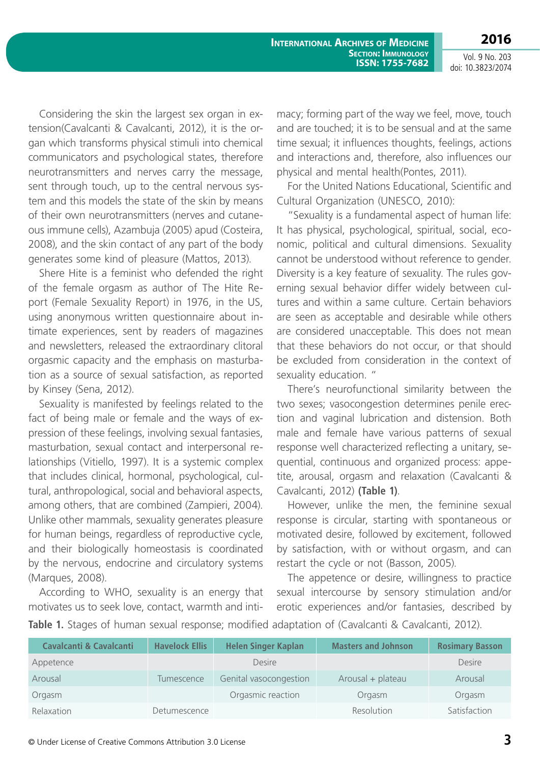**2016**

Vol. 9 No. 203 doi: 10.3823/2074

Considering the skin the largest sex organ in extension(Cavalcanti & Cavalcanti, 2012), it is the organ which transforms physical stimuli into chemical communicators and psychological states, therefore neurotransmitters and nerves carry the message, sent through touch, up to the central nervous system and this models the state of the skin by means of their own neurotransmitters (nerves and cutaneous immune cells), Azambuja (2005) apud (Costeira, 2008), and the skin contact of any part of the body generates some kind of pleasure (Mattos, 2013).

Shere Hite is a feminist who defended the right of the female orgasm as author of The Hite Report (Female Sexuality Report) in 1976, in the US, using anonymous written questionnaire about intimate experiences, sent by readers of magazines and newsletters, released the extraordinary clitoral orgasmic capacity and the emphasis on masturbation as a source of sexual satisfaction, as reported by Kinsey (Sena, 2012).

Sexuality is manifested by feelings related to the fact of being male or female and the ways of expression of these feelings, involving sexual fantasies, masturbation, sexual contact and interpersonal relationships (Vitiello, 1997). It is a systemic complex that includes clinical, hormonal, psychological, cultural, anthropological, social and behavioral aspects, among others, that are combined (Zampieri, 2004). Unlike other mammals, sexuality generates pleasure for human beings, regardless of reproductive cycle, and their biologically homeostasis is coordinated by the nervous, endocrine and circulatory systems (Marques, 2008).

According to WHO, sexuality is an energy that motivates us to seek love, contact, warmth and intimacy; forming part of the way we feel, move, touch and are touched; it is to be sensual and at the same time sexual; it influences thoughts, feelings, actions and interactions and, therefore, also influences our physical and mental health(Pontes, 2011).

For the United Nations Educational, Scientific and Cultural Organization (UNESCO, 2010):

"Sexuality is a fundamental aspect of human life: It has physical, psychological, spiritual, social, economic, political and cultural dimensions. Sexuality cannot be understood without reference to gender. Diversity is a key feature of sexuality. The rules governing sexual behavior differ widely between cultures and within a same culture. Certain behaviors are seen as acceptable and desirable while others are considered unacceptable. This does not mean that these behaviors do not occur, or that should be excluded from consideration in the context of sexuality education. "

There's neurofunctional similarity between the two sexes; vasocongestion determines penile erection and vaginal lubrication and distension. Both male and female have various patterns of sexual response well characterized reflecting a unitary, sequential, continuous and organized process: appetite, arousal, orgasm and relaxation (Cavalcanti & Cavalcanti, 2012) **(Table 1)**.

However, unlike the men, the feminine sexual response is circular, starting with spontaneous or motivated desire, followed by excitement, followed by satisfaction, with or without orgasm, and can restart the cycle or not (Basson, 2005).

The appetence or desire, willingness to practice sexual intercourse by sensory stimulation and/or erotic experiences and/or fantasies, described by

Table 1. Stages of human sexual response; modified adaptation of (Cavalcanti & Cavalcanti, 2012).

| <b>Cavalcanti &amp; Cavalcanti</b> | <b>Havelock Ellis</b> | <b>Helen Singer Kaplan</b> | <b>Masters and Johnson</b> | <b>Rosimary Basson</b> |
|------------------------------------|-----------------------|----------------------------|----------------------------|------------------------|
| Appetence                          |                       | Desire                     |                            | <b>Desire</b>          |
| Arousal                            | Tumescence            | Genital vasocongestion     | Arousal + plateau          | Arousal                |
| Orgasm                             |                       | Orgasmic reaction          | Orgasm                     | Orgasm                 |
| Relaxation                         | Detumescence          |                            | Resolution                 | Satisfaction           |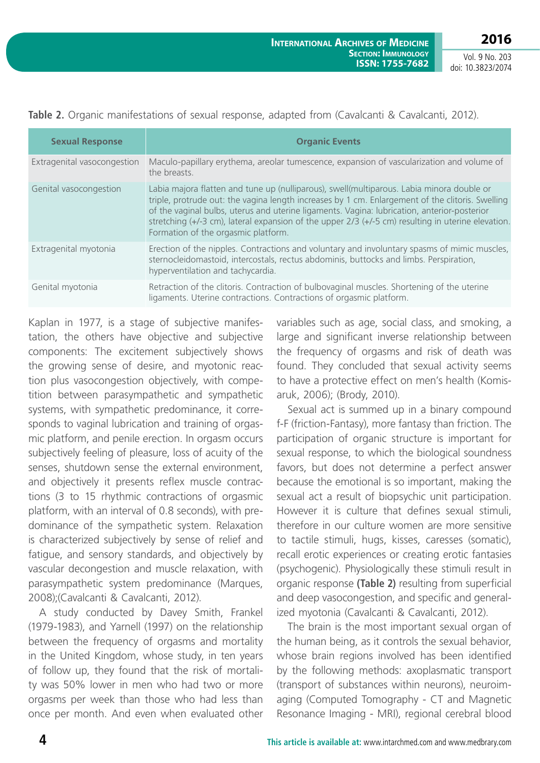| <b>Sexual Response</b>      | <b>Organic Events</b>                                                                                                                                                                                                                                                                                                                                                                                                                           |
|-----------------------------|-------------------------------------------------------------------------------------------------------------------------------------------------------------------------------------------------------------------------------------------------------------------------------------------------------------------------------------------------------------------------------------------------------------------------------------------------|
| Extragenital vasocongestion | Maculo-papillary erythema, areolar tumescence, expansion of vascularization and volume of<br>the breasts.                                                                                                                                                                                                                                                                                                                                       |
| Genital vasocongestion      | Labia majora flatten and tune up (nulliparous), swell(multiparous. Labia minora double or<br>triple, protrude out: the vagina length increases by 1 cm. Enlargement of the clitoris. Swelling<br>of the vaginal bulbs, uterus and uterine ligaments. Vagina: lubrication, anterior-posterior<br>stretching $(+/-3$ cm), lateral expansion of the upper $2/3$ $(+/-5$ cm) resulting in uterine elevation.<br>Formation of the orgasmic platform. |
| Extragenital myotonia       | Erection of the nipples. Contractions and voluntary and involuntary spasms of mimic muscles,<br>sternocleidomastoid, intercostals, rectus abdominis, buttocks and limbs. Perspiration,<br>hyperventilation and tachycardia.                                                                                                                                                                                                                     |
| Genital myotonia            | Retraction of the clitoris. Contraction of bulbovaginal muscles. Shortening of the uterine<br>ligaments. Uterine contractions. Contractions of orgasmic platform.                                                                                                                                                                                                                                                                               |

**Table 2.** Organic manifestations of sexual response, adapted from (Cavalcanti & Cavalcanti, 2012).

Kaplan in 1977, is a stage of subjective manifestation, the others have objective and subjective components: The excitement subjectively shows the growing sense of desire, and myotonic reaction plus vasocongestion objectively, with competition between parasympathetic and sympathetic systems, with sympathetic predominance, it corresponds to vaginal lubrication and training of orgasmic platform, and penile erection. In orgasm occurs subjectively feeling of pleasure, loss of acuity of the senses, shutdown sense the external environment, and objectively it presents reflex muscle contractions (3 to 15 rhythmic contractions of orgasmic platform, with an interval of 0.8 seconds), with predominance of the sympathetic system. Relaxation is characterized subjectively by sense of relief and fatigue, and sensory standards, and objectively by vascular decongestion and muscle relaxation, with parasympathetic system predominance (Marques, 2008);(Cavalcanti & Cavalcanti, 2012).

A study conducted by Davey Smith, Frankel (1979-1983), and Yarnell (1997) on the relationship between the frequency of orgasms and mortality in the United Kingdom, whose study, in ten years of follow up, they found that the risk of mortality was 50% lower in men who had two or more orgasms per week than those who had less than once per month. And even when evaluated other variables such as age, social class, and smoking, a large and significant inverse relationship between the frequency of orgasms and risk of death was found. They concluded that sexual activity seems to have a protective effect on men's health (Komisaruk, 2006); (Brody, 2010).

Sexual act is summed up in a binary compound f-F (friction-Fantasy), more fantasy than friction. The participation of organic structure is important for sexual response, to which the biological soundness favors, but does not determine a perfect answer because the emotional is so important, making the sexual act a result of biopsychic unit participation. However it is culture that defines sexual stimuli, therefore in our culture women are more sensitive to tactile stimuli, hugs, kisses, caresses (somatic), recall erotic experiences or creating erotic fantasies (psychogenic). Physiologically these stimuli result in organic response **(Table 2)** resulting from superficial and deep vasocongestion, and specific and generalized myotonia (Cavalcanti & Cavalcanti, 2012).

The brain is the most important sexual organ of the human being, as it controls the sexual behavior, whose brain regions involved has been identified by the following methods: axoplasmatic transport (transport of substances within neurons), neuroimaging (Computed Tomography - CT and Magnetic Resonance Imaging - MRI), regional cerebral blood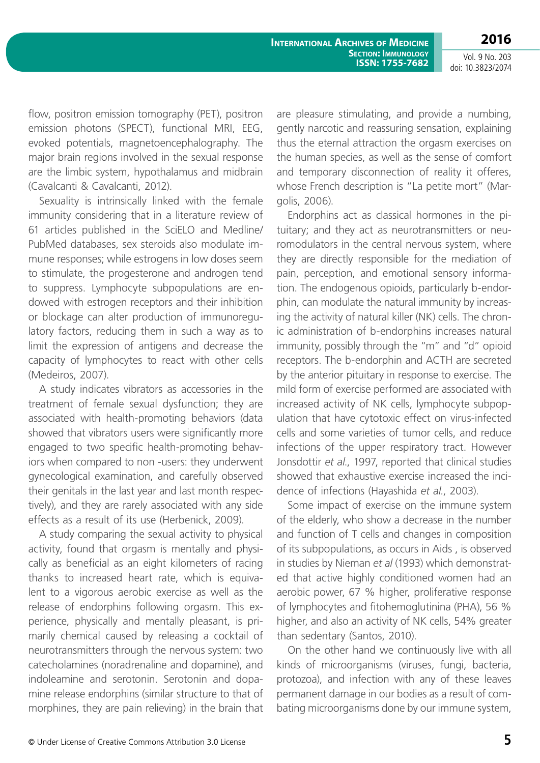Vol. 9 No. 203 doi: 10.3823/2074

**2016**

flow, positron emission tomography (PET), positron emission photons (SPECT), functional MRI, EEG, evoked potentials, magnetoencephalography. The major brain regions involved in the sexual response are the limbic system, hypothalamus and midbrain (Cavalcanti & Cavalcanti, 2012).

Sexuality is intrinsically linked with the female immunity considering that in a literature review of 61 articles published in the SciELO and Medline/ PubMed databases, sex steroids also modulate immune responses; while estrogens in low doses seem to stimulate, the progesterone and androgen tend to suppress. Lymphocyte subpopulations are endowed with estrogen receptors and their inhibition or blockage can alter production of immunoregulatory factors, reducing them in such a way as to limit the expression of antigens and decrease the capacity of lymphocytes to react with other cells (Medeiros, 2007).

A study indicates vibrators as accessories in the treatment of female sexual dysfunction; they are associated with health-promoting behaviors (data showed that vibrators users were significantly more engaged to two specific health-promoting behaviors when compared to non -users: they underwent gynecological examination, and carefully observed their genitals in the last year and last month respectively), and they are rarely associated with any side effects as a result of its use (Herbenick, 2009).

A study comparing the sexual activity to physical activity, found that orgasm is mentally and physically as beneficial as an eight kilometers of racing thanks to increased heart rate, which is equivalent to a vigorous aerobic exercise as well as the release of endorphins following orgasm. This experience, physically and mentally pleasant, is primarily chemical caused by releasing a cocktail of neurotransmitters through the nervous system: two catecholamines (noradrenaline and dopamine), and indoleamine and serotonin. Serotonin and dopamine release endorphins (similar structure to that of morphines, they are pain relieving) in the brain that

are pleasure stimulating, and provide a numbing, gently narcotic and reassuring sensation, explaining thus the eternal attraction the orgasm exercises on the human species, as well as the sense of comfort and temporary disconnection of reality it offeres, whose French description is "La petite mort" (Margolis, 2006).

Endorphins act as classical hormones in the pituitary; and they act as neurotransmitters or neuromodulators in the central nervous system, where they are directly responsible for the mediation of pain, perception, and emotional sensory information. The endogenous opioids, particularly b-endorphin, can modulate the natural immunity by increasing the activity of natural killer (NK) cells. The chronic administration of b-endorphins increases natural immunity, possibly through the "m" and "d" opioid receptors. The b-endorphin and ACTH are secreted by the anterior pituitary in response to exercise. The mild form of exercise performed are associated with increased activity of NK cells, lymphocyte subpopulation that have cytotoxic effect on virus-infected cells and some varieties of tumor cells, and reduce infections of the upper respiratory tract. However Jonsdottir *et al*., 1997, reported that clinical studies showed that exhaustive exercise increased the incidence of infections (Hayashida *et al.*, 2003).

Some impact of exercise on the immune system of the elderly, who show a decrease in the number and function of T cells and changes in composition of its subpopulations, as occurs in Aids , is observed in studies by Nieman *et al* (1993) which demonstrated that active highly conditioned women had an aerobic power, 67 % higher, proliferative response of lymphocytes and fitohemoglutinina (PHA), 56 % higher, and also an activity of NK cells, 54% greater than sedentary (Santos, 2010).

On the other hand we continuously live with all kinds of microorganisms (viruses, fungi, bacteria, protozoa), and infection with any of these leaves permanent damage in our bodies as a result of combating microorganisms done by our immune system,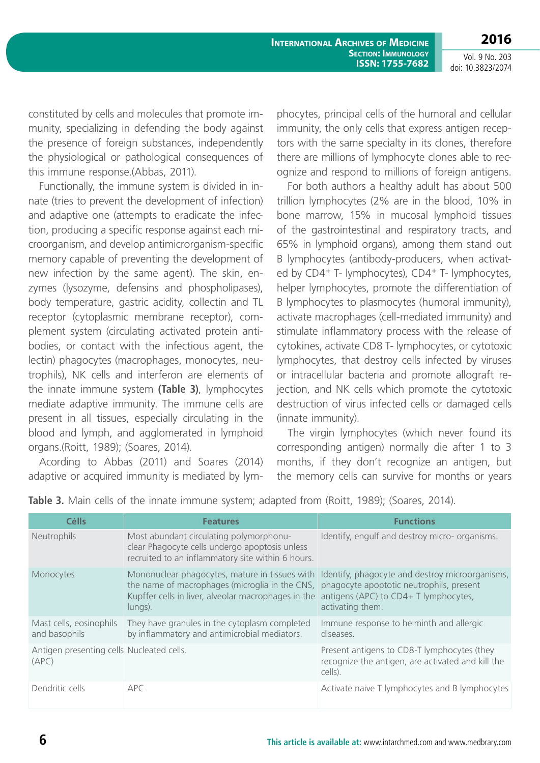Vol. 9 No. 203 doi: 10.3823/2074

**2016**

constituted by cells and molecules that promote immunity, specializing in defending the body against the presence of foreign substances, independently the physiological or pathological consequences of this immune response.(Abbas, 2011).

Functionally, the immune system is divided in innate (tries to prevent the development of infection) and adaptive one (attempts to eradicate the infection, producing a specific response against each microorganism, and develop antimicrorganism-specific memory capable of preventing the development of new infection by the same agent). The skin, enzymes (lysozyme, defensins and phospholipases), body temperature, gastric acidity, collectin and TL receptor (cytoplasmic membrane receptor), complement system (circulating activated protein antibodies, or contact with the infectious agent, the lectin) phagocytes (macrophages, monocytes, neutrophils), NK cells and interferon are elements of the innate immune system **(Table 3)**, lymphocytes mediate adaptive immunity. The immune cells are present in all tissues, especially circulating in the blood and lymph, and agglomerated in lymphoid organs.(Roitt, 1989); (Soares, 2014).

Acording to Abbas (2011) and Soares (2014) adaptive or acquired immunity is mediated by lymphocytes, principal cells of the humoral and cellular immunity, the only cells that express antigen receptors with the same specialty in its clones, therefore there are millions of lymphocyte clones able to recognize and respond to millions of foreign antigens.

For both authors a healthy adult has about 500 trillion lymphocytes (2% are in the blood, 10% in bone marrow, 15% in mucosal lymphoid tissues of the gastrointestinal and respiratory tracts, and 65% in lymphoid organs), among them stand out B lymphocytes (antibody-producers, when activated by CD4<sup>+</sup> T- lymphocytes), CD4<sup>+</sup> T- lymphocytes, helper lymphocytes, promote the differentiation of B lymphocytes to plasmocytes (humoral immunity), activate macrophages (cell-mediated immunity) and stimulate inflammatory process with the release of cytokines, activate CD8 T- lymphocytes, or cytotoxic lymphocytes, that destroy cells infected by viruses or intracellular bacteria and promote allograft rejection, and NK cells which promote the cytotoxic destruction of virus infected cells or damaged cells (innate immunity).

The virgin lymphocytes (which never found its corresponding antigen) normally die after 1 to 3 months, if they don't recognize an antigen, but the memory cells can survive for months or years

| <b>Célls</b>                                       | <b>Features</b>                                                                                                                                                                                 | <b>Functions</b>                                                                                                   |
|----------------------------------------------------|-------------------------------------------------------------------------------------------------------------------------------------------------------------------------------------------------|--------------------------------------------------------------------------------------------------------------------|
| <b>Neutrophils</b>                                 | Most abundant circulating polymorphonu-<br>clear Phagocyte cells undergo apoptosis unless<br>recruited to an inflammatory site within 6 hours.                                                  | Identify, engulf and destroy micro- organisms.                                                                     |
| Monocytes                                          | the name of macrophages (microglia in the CNS, phagocyte apoptotic neutrophils, present<br>Kupffer cells in liver, alveolar macrophages in the antigens (APC) to CD4+ T lymphocytes,<br>lungs). | Mononuclear phagocytes, mature in tissues with Identify, phagocyte and destroy microorganisms,<br>activating them. |
| Mast cells, eosinophils<br>and basophils           | They have granules in the cytoplasm completed<br>by inflammatory and antimicrobial mediators.                                                                                                   | Immune response to helminth and allergic<br>diseases.                                                              |
| Antigen presenting cells Nucleated cells.<br>(APC) |                                                                                                                                                                                                 | Present antigens to CD8-T lymphocytes (they<br>recognize the antigen, are activated and kill the<br>cells).        |
| Dendritic cells                                    | <b>APC</b>                                                                                                                                                                                      | Activate naive T lymphocytes and B lymphocytes                                                                     |

**Table 3.** Main cells of the innate immune system; adapted from (Roitt, 1989); (Soares, 2014).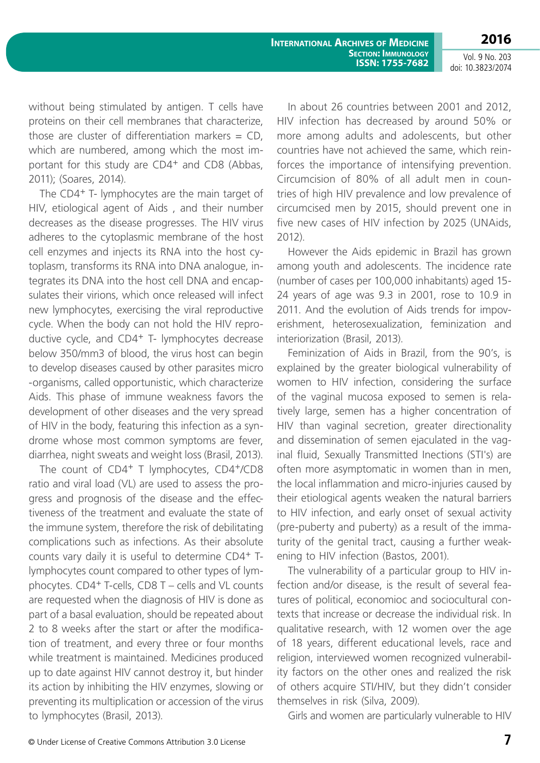**2016**

**International Archives of Medicine Section: Immunology ISSN: 1755-7682**

Vol. 9 No. 203 doi: 10.3823/2074

without being stimulated by antigen. T cells have proteins on their cell membranes that characterize, those are cluster of differentiation markers  $=$  CD. which are numbered, among which the most important for this study are CD4+ and CD8 (Abbas, 2011); (Soares, 2014).

The CD4<sup>+</sup> T- lymphocytes are the main target of HIV, etiological agent of Aids , and their number decreases as the disease progresses. The HIV virus adheres to the cytoplasmic membrane of the host cell enzymes and injects its RNA into the host cytoplasm, transforms its RNA into DNA analogue, integrates its DNA into the host cell DNA and encapsulates their virions, which once released will infect new lymphocytes, exercising the viral reproductive cycle. When the body can not hold the HIV reproductive cycle, and CD4+ T- lymphocytes decrease below 350/mm3 of blood, the virus host can begin to develop diseases caused by other parasites micro -organisms, called opportunistic, which characterize Aids. This phase of immune weakness favors the development of other diseases and the very spread of HIV in the body, featuring this infection as a syndrome whose most common symptoms are fever, diarrhea, night sweats and weight loss (Brasil, 2013).

The count of CD4<sup>+</sup> T lymphocytes, CD4<sup>+</sup>/CD8 ratio and viral load (VL) are used to assess the progress and prognosis of the disease and the effectiveness of the treatment and evaluate the state of the immune system, therefore the risk of debilitating complications such as infections. As their absolute counts vary daily it is useful to determine CD4+ Tlymphocytes count compared to other types of lymphocytes. CD4+ T-cells, CD8 T – cells and VL counts are requested when the diagnosis of HIV is done as part of a basal evaluation, should be repeated about 2 to 8 weeks after the start or after the modification of treatment, and every three or four months while treatment is maintained. Medicines produced up to date against HIV cannot destroy it, but hinder its action by inhibiting the HIV enzymes, slowing or preventing its multiplication or accession of the virus to lymphocytes (Brasil, 2013).

In about 26 countries between 2001 and 2012, HIV infection has decreased by around 50% or more among adults and adolescents, but other countries have not achieved the same, which reinforces the importance of intensifying prevention. Circumcision of 80% of all adult men in countries of high HIV prevalence and low prevalence of circumcised men by 2015, should prevent one in five new cases of HIV infection by 2025 (UNAids, 2012).

However the Aids epidemic in Brazil has grown among youth and adolescents. The incidence rate (number of cases per 100,000 inhabitants) aged 15- 24 years of age was 9.3 in 2001, rose to 10.9 in 2011. And the evolution of Aids trends for impoverishment, heterosexualization, feminization and interiorization (Brasil, 2013).

Feminization of Aids in Brazil, from the 90's, is explained by the greater biological vulnerability of women to HIV infection, considering the surface of the vaginal mucosa exposed to semen is relatively large, semen has a higher concentration of HIV than vaginal secretion, greater directionality and dissemination of semen ejaculated in the vaginal fluid, Sexually Transmitted Inections (STI's) are often more asymptomatic in women than in men, the local inflammation and micro-injuries caused by their etiological agents weaken the natural barriers to HIV infection, and early onset of sexual activity (pre-puberty and puberty) as a result of the immaturity of the genital tract, causing a further weakening to HIV infection (Bastos, 2001).

The vulnerability of a particular group to HIV infection and/or disease, is the result of several features of political, economioc and sociocultural contexts that increase or decrease the individual risk. In qualitative research, with 12 women over the age of 18 years, different educational levels, race and religion, interviewed women recognized vulnerability factors on the other ones and realized the risk of others acquire STI/HIV, but they didn't consider themselves in risk (Silva, 2009).

Girls and women are particularly vulnerable to HIV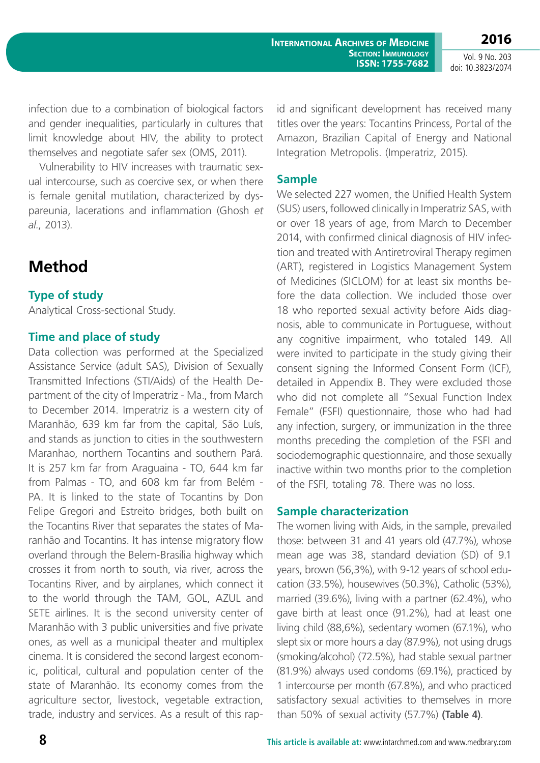infection due to a combination of biological factors and gender inequalities, particularly in cultures that limit knowledge about HIV, the ability to protect themselves and negotiate safer sex (OMS, 2011).

Vulnerability to HIV increases with traumatic sexual intercourse, such as coercive sex, or when there is female genital mutilation, characterized by dyspareunia, lacerations and inflammation (Ghosh *et al.*, 2013).

# **Method**

### **Type of study**

Analytical Cross-sectional Study.

### **Time and place of study**

Data collection was performed at the Specialized Assistance Service (adult SAS), Division of Sexually Transmitted Infections (STI/Aids) of the Health Department of the city of Imperatriz - Ma., from March to December 2014. Imperatriz is a western city of Maranhão, 639 km far from the capital, São Luís, and stands as junction to cities in the southwestern Maranhao, northern Tocantins and southern Pará. It is 257 km far from Araguaina - TO, 644 km far from Palmas - TO, and 608 km far from Belém - PA. It is linked to the state of Tocantins by Don Felipe Gregori and Estreito bridges, both built on the Tocantins River that separates the states of Maranhão and Tocantins. It has intense migratory flow overland through the Belem-Brasilia highway which crosses it from north to south, via river, across the Tocantins River, and by airplanes, which connect it to the world through the TAM, GOL, AZUL and SETE airlines. It is the second university center of Maranhão with 3 public universities and five private ones, as well as a municipal theater and multiplex cinema. It is considered the second largest economic, political, cultural and population center of the state of Maranhão. Its economy comes from the agriculture sector, livestock, vegetable extraction, trade, industry and services. As a result of this rapid and significant development has received many titles over the years: Tocantins Princess, Portal of the Amazon, Brazilian Capital of Energy and National Integration Metropolis. (Imperatriz, 2015).

#### **Sample**

We selected 227 women, the Unified Health System (SUS) users, followed clinically in Imperatriz SAS, with or over 18 years of age, from March to December 2014, with confirmed clinical diagnosis of HIV infection and treated with Antiretroviral Therapy regimen (ART), registered in Logistics Management System of Medicines (SICLOM) for at least six months before the data collection. We included those over 18 who reported sexual activity before Aids diagnosis, able to communicate in Portuguese, without any cognitive impairment, who totaled 149. All were invited to participate in the study giving their consent signing the Informed Consent Form (ICF), detailed in Appendix B. They were excluded those who did not complete all "Sexual Function Index Female" (FSFI) questionnaire, those who had had any infection, surgery, or immunization in the three months preceding the completion of the FSFI and sociodemographic questionnaire, and those sexually inactive within two months prior to the completion of the FSFI, totaling 78. There was no loss.

#### **Sample characterization**

The women living with Aids, in the sample, prevailed those: between 31 and 41 years old (47.7%), whose mean age was 38, standard deviation (SD) of 9.1 years, brown (56,3%), with 9-12 years of school education (33.5%), housewives (50.3%), Catholic (53%), married (39.6%), living with a partner (62.4%), who gave birth at least once (91.2%), had at least one living child (88,6%), sedentary women (67.1%), who slept six or more hours a day (87.9%), not using drugs (smoking/alcohol) (72.5%), had stable sexual partner (81.9%) always used condoms (69.1%), practiced by 1 intercourse per month (67.8%), and who practiced satisfactory sexual activities to themselves in more than 50% of sexual activity (57.7%) **(Table 4)**.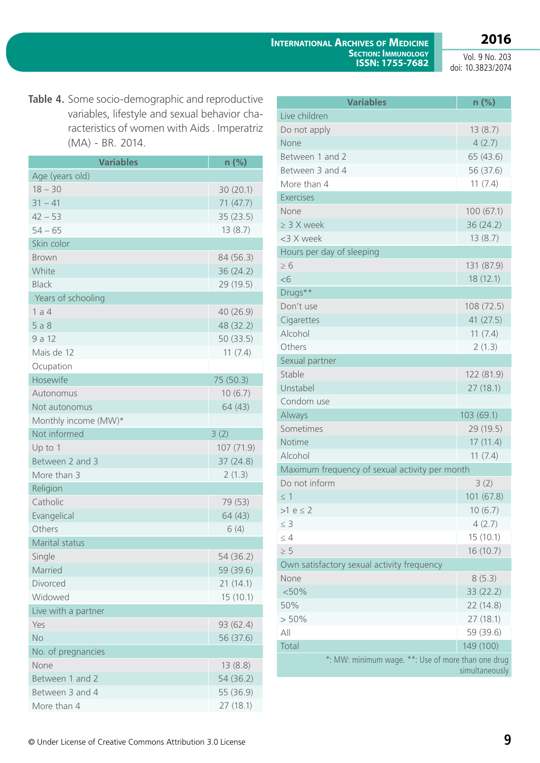**2016**

Vol. 9 No. 203 doi: 10.3823/2074

**Table 4.** Some socio-demographic and reproductive variables, lifestyle and sexual behavior characteristics of women with Aids . Imperatriz (MA) - BR. 2014.

| <b>Variables</b>     | $n$ (%)    |
|----------------------|------------|
| Age (years old)      |            |
| $18 - 30$            | 30(20.1)   |
| $31 - 41$            | 71 (47.7)  |
| $42 - 53$            | 35(23.5)   |
| $54 - 65$            | 13(8.7)    |
| Skin color           |            |
| <b>Brown</b>         | 84 (56.3)  |
| White                | 36 (24.2)  |
| <b>Black</b>         | 29 (19.5)  |
| Years of schooling   |            |
| 1a4                  | 40 (26.9)  |
| 5a8                  | 48 (32.2)  |
| 9 a 12               | 50 (33.5)  |
| Mais de 12           | 11(7.4)    |
| Ocupation            |            |
| Hosewife             | 75 (50.3)  |
| Autonomus            | 10(6.7)    |
| Not autonomus        | 64 (43)    |
| Monthly income (MW)* |            |
| Not informed         | 3(2)       |
| Up to 1              | 107 (71.9) |
| Between 2 and 3      | 37 (24.8)  |
| More than 3          | 2(1.3)     |
| Religion             |            |
| Catholic             | 79 (53)    |
| Evangelical          | 64 (43)    |
| Others               | 6(4)       |
| Marital status       |            |
| Single               | 54 (36.2)  |
| Married              | 59 (39.6)  |
| Divorced             | 21(14.1)   |
| Widowed              | 15(10.1)   |
| Live with a partner  |            |
| Yes                  | 93 (62.4)  |
| <b>No</b>            | 56 (37.6)  |
| No. of pregnancies   |            |
| None                 | 13(8.8)    |
| Between 1 and 2      | 54(36.2)   |
| Between 3 and 4      | 55 (36.9)  |
| More than 4          | 27(18.1)   |

| <b>Variables</b>                                   | $n$ (%)        |
|----------------------------------------------------|----------------|
| Live children                                      |                |
| Do not apply                                       | 13(8.7)        |
| None                                               | 4(2.7)         |
| Between 1 and 2                                    | 65 (43.6)      |
| Between 3 and 4                                    | 56 (37.6)      |
| More than 4                                        | 11(7.4)        |
| <b>Exercises</b>                                   |                |
| None                                               | 100(67.1)      |
| $\geq$ 3 X week                                    | 36 (24.2)      |
| <3 X week                                          | 13(8.7)        |
| Hours per day of sleeping                          |                |
| $\geq 6$                                           | 131 (87.9)     |
| <6                                                 | 18(12.1)       |
| Drugs**                                            |                |
| Don't use                                          | 108 (72.5)     |
| Cigarettes                                         | 41 (27.5)      |
| Alcohol                                            | 11(7.4)        |
| Others                                             | 2(1.3)         |
| Sexual partner                                     |                |
| Stable                                             | 122 (81.9)     |
| Unstabel                                           | 27(18.1)       |
| Condom use                                         |                |
| Always                                             | 103(69.1)      |
| Sometimes                                          | 29 (19.5)      |
| Notime                                             | 17(11.4)       |
| Alcohol                                            | 11(7.4)        |
| Maximum frequency of sexual activity per month     |                |
| Do not inform                                      | 3(2)           |
| $\leq$ 1                                           | 101 (67.8)     |
| $>1 e \leq 2$                                      | 10(6.7)        |
| $\leq 3$                                           | 4(2.7)         |
| $\leq 4$                                           | 15(10.1)       |
| $\geq 5$                                           | 16(10.7)       |
| Own satisfactory sexual activity frequency         |                |
| None                                               | 8(5.3)         |
| < 50%                                              | 33 (22.2)      |
| 50%                                                | 22 (14.8)      |
| $> 50\%$                                           | 27(18.1)       |
| All                                                | 59 (39.6)      |
| Total                                              | 149 (100)      |
| *: MW: minimum wage. **: Use of more than one drug | simultaneously |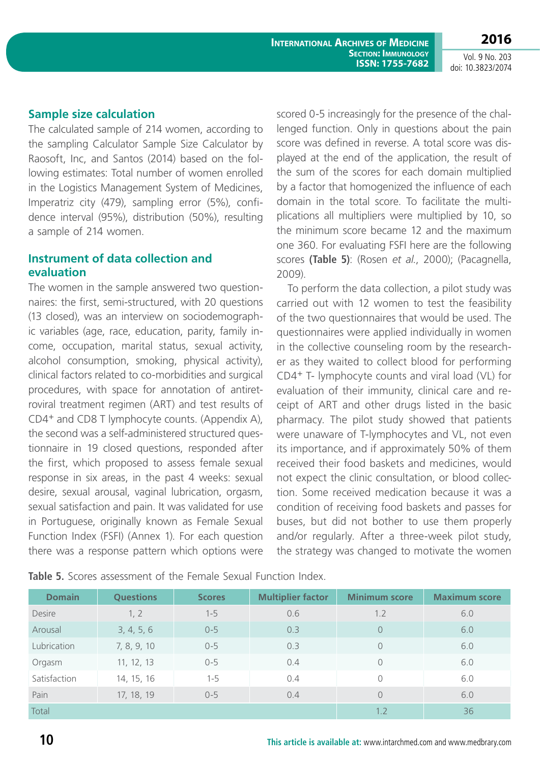**2016** Vol. 9 No. 203

doi: 10.3823/2074

#### **Sample size calculation**

The calculated sample of 214 women, according to the sampling Calculator Sample Size Calculator by Raosoft, Inc, and Santos (2014) based on the following estimates: Total number of women enrolled in the Logistics Management System of Medicines, Imperatriz city (479), sampling error (5%), confidence interval (95%), distribution (50%), resulting a sample of 214 women.

#### **Instrument of data collection and evaluation**

The women in the sample answered two questionnaires: the first, semi-structured, with 20 questions (13 closed), was an interview on sociodemographic variables (age, race, education, parity, family income, occupation, marital status, sexual activity, alcohol consumption, smoking, physical activity), clinical factors related to co-morbidities and surgical procedures, with space for annotation of antiretroviral treatment regimen (ART) and test results of CD4+ and CD8 T lymphocyte counts. (Appendix A), the second was a self-administered structured questionnaire in 19 closed questions, responded after the first, which proposed to assess female sexual response in six areas, in the past 4 weeks: sexual desire, sexual arousal, vaginal lubrication, orgasm, sexual satisfaction and pain. It was validated for use in Portuguese, originally known as Female Sexual Function Index (FSFI) (Annex 1). For each question there was a response pattern which options were scored 0-5 increasingly for the presence of the challenged function. Only in questions about the pain score was defined in reverse. A total score was displayed at the end of the application, the result of the sum of the scores for each domain multiplied by a factor that homogenized the influence of each domain in the total score. To facilitate the multiplications all multipliers were multiplied by 10, so the minimum score became 12 and the maximum one 360. For evaluating FSFI here are the following scores **(Table 5)**: (Rosen *et al.*, 2000); (Pacagnella, 2009).

To perform the data collection, a pilot study was carried out with 12 women to test the feasibility of the two questionnaires that would be used. The questionnaires were applied individually in women in the collective counseling room by the researcher as they waited to collect blood for performing CD4+ T- lymphocyte counts and viral load (VL) for evaluation of their immunity, clinical care and receipt of ART and other drugs listed in the basic pharmacy. The pilot study showed that patients were unaware of T-lymphocytes and VL, not even its importance, and if approximately 50% of them received their food baskets and medicines, would not expect the clinic consultation, or blood collection. Some received medication because it was a condition of receiving food baskets and passes for buses, but did not bother to use them properly and/or regularly. After a three-week pilot study, the strategy was changed to motivate the women

**Table 5.** Scores assessment of the Female Sexual Function Index.

| <b>Domain</b> | <b>Questions</b> | <b>Scores</b> | <b>Multiplier factor</b> | <b>Minimum score</b> | <b>Maximum score</b> |
|---------------|------------------|---------------|--------------------------|----------------------|----------------------|
| <b>Desire</b> | 1, 2             | $1 - 5$       | 0.6                      | 1.2                  | 6.0                  |
| Arousal       | 3, 4, 5, 6       | $0 - 5$       | 0.3                      | $\overline{0}$       | 6.0                  |
| Lubrication   | 7, 8, 9, 10      | $0 - 5$       | 0.3                      | $\overline{0}$       | 6.0                  |
| Orgasm        | 11, 12, 13       | $0 - 5$       | 0.4                      | 0                    | 6.0                  |
| Satisfaction  | 14, 15, 16       | $1 - 5$       | 0.4                      | $\bigcap$            | 6.0                  |
| Pain          | 17, 18, 19       | $0 - 5$       | 0.4                      | $\Omega$             | 6.0                  |
| Total         |                  |               |                          | 1.2                  | 36                   |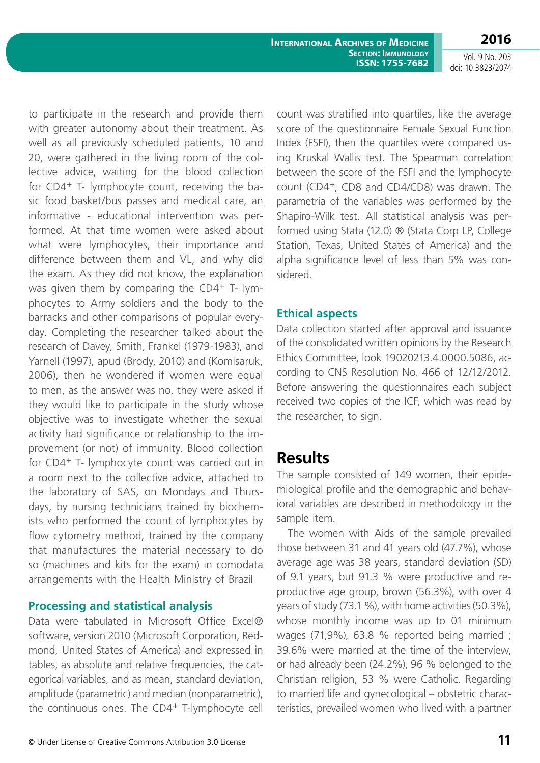**2016**

Vol. 9 No. 203 doi: 10.3823/2074

to participate in the research and provide them with greater autonomy about their treatment. As well as all previously scheduled patients, 10 and 20, were gathered in the living room of the collective advice, waiting for the blood collection for CD4+ T- lymphocyte count, receiving the basic food basket/bus passes and medical care, an informative - educational intervention was performed. At that time women were asked about what were lymphocytes, their importance and difference between them and VL, and why did the exam. As they did not know, the explanation was given them by comparing the CD4+ T- lymphocytes to Army soldiers and the body to the barracks and other comparisons of popular everyday. Completing the researcher talked about the research of Davey, Smith, Frankel (1979-1983), and Yarnell (1997), apud (Brody, 2010) and (Komisaruk, 2006), then he wondered if women were equal to men, as the answer was no, they were asked if they would like to participate in the study whose objective was to investigate whether the sexual activity had significance or relationship to the improvement (or not) of immunity. Blood collection for CD4+ T- lymphocyte count was carried out in a room next to the collective advice, attached to the laboratory of SAS, on Mondays and Thursdays, by nursing technicians trained by biochemists who performed the count of lymphocytes by flow cytometry method, trained by the company that manufactures the material necessary to do so (machines and kits for the exam) in comodata arrangements with the Health Ministry of Brazil

#### **Processing and statistical analysis**

Data were tabulated in Microsoft Office Excel® software, version 2010 (Microsoft Corporation, Redmond, United States of America) and expressed in tables, as absolute and relative frequencies, the categorical variables, and as mean, standard deviation, amplitude (parametric) and median (nonparametric), the continuous ones. The CD4+ T-lymphocyte cell count was stratified into quartiles, like the average score of the questionnaire Female Sexual Function Index (FSFI), then the quartiles were compared using Kruskal Wallis test. The Spearman correlation between the score of the FSFI and the lymphocyte count (CD4+, CD8 and CD4/CD8) was drawn. The parametria of the variables was performed by the Shapiro-Wilk test. All statistical analysis was performed using Stata (12.0) ® (Stata Corp LP, College Station, Texas, United States of America) and the alpha significance level of less than 5% was considered.

#### **Ethical aspects**

Data collection started after approval and issuance of the consolidated written opinions by the Research Ethics Committee, look 19020213.4.0000.5086, according to CNS Resolution No. 466 of 12/12/2012. Before answering the questionnaires each subject received two copies of the ICF, which was read by the researcher, to sign.

## **Results**

The sample consisted of 149 women, their epidemiological profile and the demographic and behavioral variables are described in methodology in the sample item.

The women with Aids of the sample prevailed those between 31 and 41 years old (47.7%), whose average age was 38 years, standard deviation (SD) of 9.1 years, but 91.3 % were productive and reproductive age group, brown (56.3%), with over 4 years of study (73.1 %), with home activities (50.3%), whose monthly income was up to 01 minimum wages (71,9%), 63.8 % reported being married ; 39.6% were married at the time of the interview, or had already been (24.2%), 96 % belonged to the Christian religion, 53 % were Catholic. Regarding to married life and gynecological – obstetric characteristics, prevailed women who lived with a partner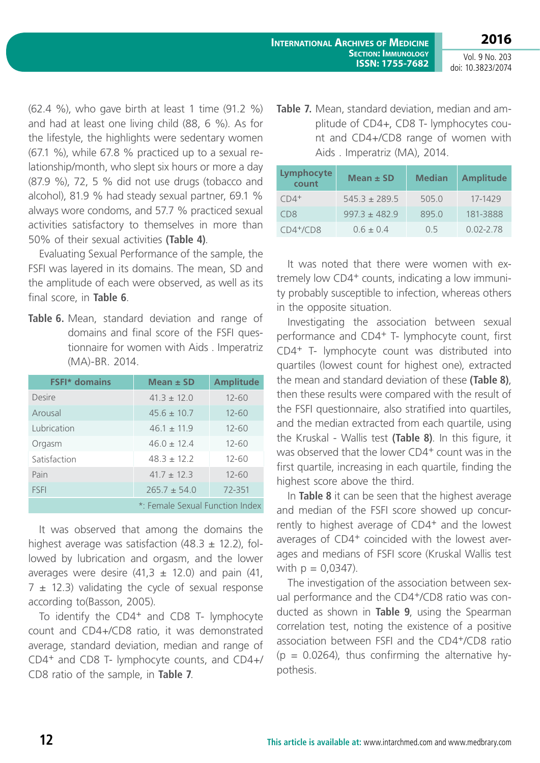**2016**

(62.4 %), who gave birth at least 1 time (91.2 %) and had at least one living child (88, 6 %). As for the lifestyle, the highlights were sedentary women (67.1 %), while 67.8 % practiced up to a sexual relationship/month, who slept six hours or more a day (87.9 %), 72, 5 % did not use drugs (tobacco and alcohol), 81.9 % had steady sexual partner, 69.1 % always wore condoms, and 57.7 % practiced sexual activities satisfactory to themselves in more than 50% of their sexual activities **(Table 4)**.

Evaluating Sexual Performance of the sample, the FSFI was layered in its domains. The mean, SD and the amplitude of each were observed, as well as its final score, in **Table 6**.

**Table 6.** Mean, standard deviation and range of domains and final score of the FSFI questionnaire for women with Aids . Imperatriz (MA)-BR. 2014.

| <b>FSFI*</b> domains | Mean $\pm$ SD                   | <b>Amplitude</b> |
|----------------------|---------------------------------|------------------|
| Desire               | $41.3 + 12.0$                   | $12 - 60$        |
| Arousal              | $45.6 \pm 10.7$                 | $12 - 60$        |
| Lubrication          | $46.1 + 11.9$                   | $12 - 60$        |
| Orgasm               | $46.0 + 12.4$                   | $12 - 60$        |
| Satisfaction         | $48.3 + 12.2$                   | $12 - 60$        |
| Pain                 | $41.7 + 12.3$                   | $12 - 60$        |
| <b>FSFI</b>          | $265.7 \pm 54.0$                | 72-351           |
|                      | *: Female Sexual Function Index |                  |

It was observed that among the domains the highest average was satisfaction  $(48.3 \pm 12.2)$ , followed by lubrication and orgasm, and the lower averages were desire  $(41,3 \pm 12.0)$  and pain  $(41, 1)$  $7 \pm 12.3$ ) validating the cycle of sexual response according to(Basson, 2005).

To identify the CD4<sup>+</sup> and CD8 T- lymphocyte count and CD4+/CD8 ratio, it was demonstrated average, standard deviation, median and range of CD4+ and CD8 T- lymphocyte counts, and CD4+/ CD8 ratio of the sample, in **Table 7**.

**Table 7.** Mean, standard deviation, median and amplitude of CD4+, CD8 T- lymphocytes count and CD4+/CD8 range of women with Aids . Imperatriz (MA), 2014.

**ISSN: 1755-7682**

| Lymphocyte<br>count | Mean $\pm$ SD     | <b>Median</b> | <b>Amplitude</b> |
|---------------------|-------------------|---------------|------------------|
| $CD4^+$             | $545.3 \pm 289.5$ | 505.0         | 17-1429          |
| C <sub>D</sub> 8    | $997.3 + 482.9$   | 895.0         | 181-3888         |
| $CD4^{+}/CD8$       | $0.6 + 0.4$       | O 5           | $0.02 - 2.78$    |

It was noted that there were women with extremely low CD4+ counts, indicating a low immunity probably susceptible to infection, whereas others in the opposite situation.

Investigating the association between sexual performance and CD4+ T- lymphocyte count, first CD4+ T- lymphocyte count was distributed into quartiles (lowest count for highest one), extracted the mean and standard deviation of these **(Table 8)**, then these results were compared with the result of the FSFI questionnaire, also stratified into quartiles, and the median extracted from each quartile, using the Kruskal - Wallis test **(Table 8)**. In this figure, it was observed that the lower CD4<sup>+</sup> count was in the first quartile, increasing in each quartile, finding the highest score above the third.

In **Table 8** it can be seen that the highest average and median of the FSFI score showed up concurrently to highest average of CD4<sup>+</sup> and the lowest averages of CD4+ coincided with the lowest averages and medians of FSFI score (Kruskal Wallis test with  $p = 0.0347$ ).

The investigation of the association between sexual performance and the CD4<sup>+</sup>/CD8 ratio was conducted as shown in **Table 9**, using the Spearman correlation test, noting the existence of a positive association between FSFI and the CD4+/CD8 ratio  $(p = 0.0264)$ , thus confirming the alternative hypothesis.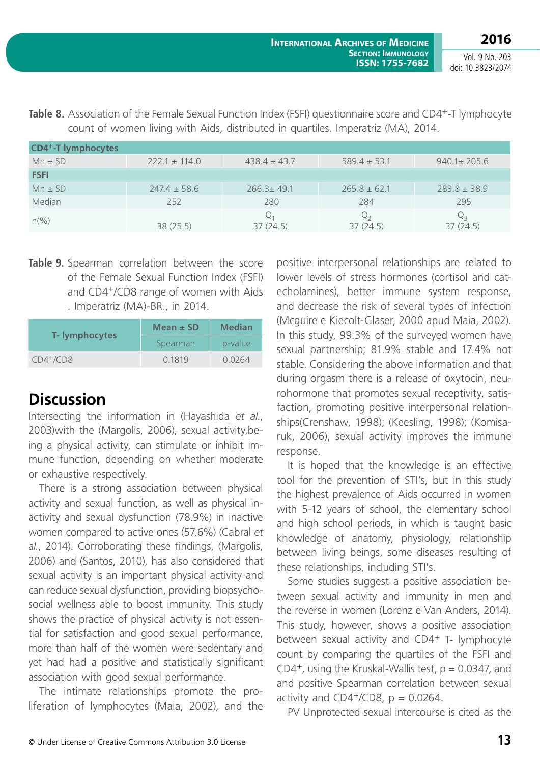**2016**

| <b>CD4<sup>+</sup>-T</b> lymphocytes |                   |                   |                   |                   |
|--------------------------------------|-------------------|-------------------|-------------------|-------------------|
| $Mn \pm SD$                          | $222.1 \pm 114.0$ | $438.4 \pm 43.7$  | $589.4 \pm 53.1$  | $940.1 \pm 205.6$ |
| <b>FSFI</b>                          |                   |                   |                   |                   |
| $Mn \pm SD$                          | $247.4 \pm 58.6$  | $266.3 \pm 49.1$  | $265.8 \pm 62.1$  | $283.8 \pm 38.9$  |
| Median                               | 252               | 280               | 284               | 295               |
| $n\frac{\%}{\)}$                     | 38(25.5)          | $Q_1$<br>37(24.5) | $Q_2$<br>37(24.5) | 37(24.5)          |

**Table 8.** Association of the Female Sexual Function Index (FSFI) questionnaire score and CD4<sup>+</sup>-T lymphocyte count of women living with Aids, distributed in quartiles. Imperatriz (MA), 2014.

**Table 9.** Spearman correlation between the score of the Female Sexual Function Index (FSFI) and CD4+/CD8 range of women with Aids . Imperatriz (MA)-BR., in 2014.

|                       | Mean $\pm$ SD<br><b>Median</b> |         |
|-----------------------|--------------------------------|---------|
| <b>T-</b> lymphocytes | Spearman                       | p-value |
| $CD4^{+}/CD8$         | 0.1819                         | 0.0264  |

# **Discussion**

Intersecting the information in (Hayashida *et al.*, 2003)with the (Margolis, 2006), sexual activity,being a physical activity, can stimulate or inhibit immune function, depending on whether moderate or exhaustive respectively.

There is a strong association between physical activity and sexual function, as well as physical inactivity and sexual dysfunction (78.9%) in inactive women compared to active ones (57.6%) (Cabral *et al.*, 2014). Corroborating these findings, (Margolis, 2006) and (Santos, 2010), has also considered that sexual activity is an important physical activity and can reduce sexual dysfunction, providing biopsychosocial wellness able to boost immunity. This study shows the practice of physical activity is not essential for satisfaction and good sexual performance, more than half of the women were sedentary and yet had had a positive and statistically significant association with good sexual performance.

The intimate relationships promote the proliferation of lymphocytes (Maia, 2002), and the

positive interpersonal relationships are related to lower levels of stress hormones (cortisol and catecholamines), better immune system response, and decrease the risk of several types of infection (Mcguire e Kiecolt-Glaser, 2000 apud Maia, 2002). In this study, 99.3% of the surveyed women have sexual partnership; 81.9% stable and 17.4% not stable. Considering the above information and that during orgasm there is a release of oxytocin, neurohormone that promotes sexual receptivity, satisfaction, promoting positive interpersonal relationships(Crenshaw, 1998); (Keesling, 1998); (Komisaruk, 2006), sexual activity improves the immune response.

It is hoped that the knowledge is an effective tool for the prevention of STI's, but in this study the highest prevalence of Aids occurred in women with 5-12 years of school, the elementary school and high school periods, in which is taught basic knowledge of anatomy, physiology, relationship between living beings, some diseases resulting of these relationships, including STI's.

Some studies suggest a positive association between sexual activity and immunity in men and the reverse in women (Lorenz e Van Anders, 2014). This study, however, shows a positive association between sexual activity and CD4+ T- lymphocyte count by comparing the quartiles of the FSFI and CD4<sup>+</sup>, using the Kruskal-Wallis test,  $p = 0.0347$ , and and positive Spearman correlation between sexual activity and CD4+/CD8,  $p = 0.0264$ .

PV Unprotected sexual intercourse is cited as the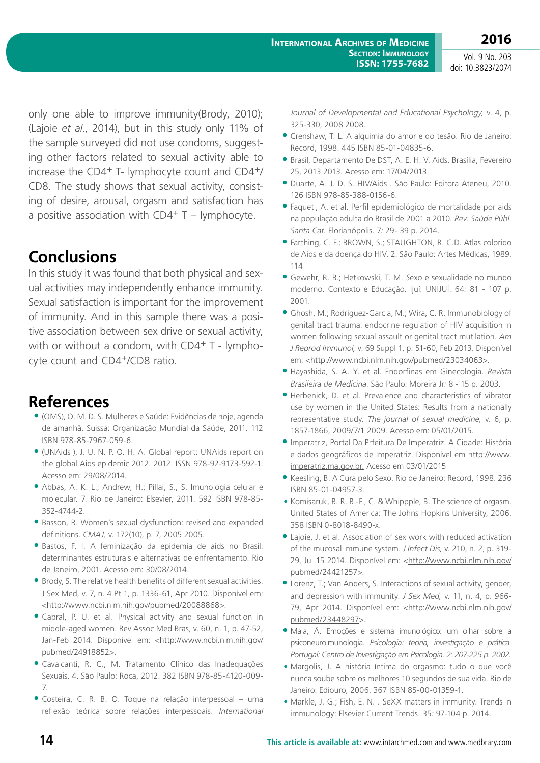only one able to improve immunity(Brody, 2010); (Lajoie *et al.*, 2014), but in this study only 11% of the sample surveyed did not use condoms, suggesting other factors related to sexual activity able to increase the CD4+ T- lymphocyte count and CD4+/ CD8. The study shows that sexual activity, consisting of desire, arousal, orgasm and satisfaction has a positive association with  $CD4+T -$  lymphocyte.

# **Conclusions**

In this study it was found that both physical and sexual activities may independently enhance immunity. Sexual satisfaction is important for the improvement of immunity. And in this sample there was a positive association between sex drive or sexual activity, with or without a condom, with CD4<sup>+</sup> T - lymphocyte count and CD4+/CD8 ratio.

# **References**

- (OMS), O. M. D. S. Mulheres e Saúde: Evidências de hoje, agenda de amanhã. Suissa: Organização Mundial da Saúde, 2011. 112 ISBN 978-85-7967-059-6.
- (UNAids ), J. U. N. P. O. H. A. Global report: UNAids report on the global Aids epidemic 2012. 2012. ISSN 978-92-9173-592-1. Acesso em: 29/08/2014.
- Abbas, A. K. L.; Andrew, H.; Pillai, S., S. Imunologia celular e molecular. 7. Rio de Janeiro: Elsevier, 2011. 592 ISBN 978-85- 352-4744-2.
- Basson, R. Women's sexual dysfunction: revised and expanded definitions. *CMAJ,* v. 172(10), p. 7, 2005 2005.
- Bastos, F. I. A feminização da epidemia de aids no Brasil: determinantes estruturais e alternativas de enfrentamento. Rio de Janeiro, 2001. Acesso em: 30/08/2014.
- Brody, S. The relative health benefits of different sexual activities. J Sex Med, v. 7, n. 4 Pt 1, p. 1336-61, Apr 2010. Disponível em: <<http://www.ncbi.nlm.nih.gov/pubmed/20088868>>.
- Cabral, P. U. et al. Physical activity and sexual function in middle-aged women. Rev Assoc Med Bras, v. 60, n. 1, p. 47-52, Jan-Feb 2014. Disponível em: [<http://www.ncbi.nlm.nih.gov/](http://www.ncbi.nlm.nih.gov/pubmed/24918852) [pubmed/24918852>](http://www.ncbi.nlm.nih.gov/pubmed/24918852).
- Cavalcanti, R. C., M. Tratamento Clínico das Inadequações Sexuais. 4. São Paulo: Roca, 2012. 382 ISBN 978-85-4120-009- 7.
- Costeira, C. R. B. O. Toque na relação interpessoal uma reflexão teórica sobre relações interpessoais. *International*

*Journal of Developmental and Educational Psychology,* v. 4, p. 325-330, 2008 2008.

- Crenshaw, T. L. A alquimia do amor e do tesão. Rio de Janeiro: Record, 1998. 445 ISBN 85-01-04835-6.
- Brasil, Departamento De DST, A. E. H. V. Aids. Brasília, Fevereiro 25, 2013 2013. Acesso em: 17/04/2013.
- Duarte, A. J. D. S. HIV/Aids . São Paulo: Editora Ateneu, 2010. 126 ISBN 978-85-388-0156-6.
- Faqueti, A. et al. Perfil epidemiológico de mortalidade por aids na população adulta do Brasil de 2001 a 2010. *Rev. Saúde Públ. Santa Cat.* Florianópolis. 7*:* 29- 39 p. 2014.
- Farthing, C. F.; BROWN, S.; STAUGHTON, R. C.D. Atlas colorido de Aids e da doença do HIV. 2. São Paulo: Artes Médicas, 1989. 114
- Gewehr, R. B.; Hetkowski, T. M. *S*exo e sexualidade no mundo moderno. Contexto e Educação. Ijuí: UNIJUÍ. 64*:* 81 - 107 p. 2001.
- Ghosh, M.; Rodriguez-Garcia, M.; Wira, C. R. Immunobiology of genital tract trauma: endocrine regulation of HIV acquisition in women following sexual assault or genital tract mutilation. *Am J Reprod Immunol,* v. 69 Suppl 1, p. 51-60, Feb 2013. Disponível em: [<http://www.ncbi.nlm.nih.gov/pubmed/23034063](http://www.ncbi.nlm.nih.gov/pubmed/23034063)>.
- Hayashida, S. A. Y. et al. Endorfinas em Ginecologia. *Revista Brasileira de Medicina*. São Paulo: Moreira Jr*:* 8 - 15 p. 2003.
- Herbenick, D. et al. Prevalence and characteristics of vibrator use by women in the United States: Results from a nationally representative study. *The journal of sexual medicine,* v. 6, p. 1857-1866, 2009/7/1 2009. Acesso em: 05/01/2015.
- Imperatriz, Portal Da Prfeitura De Imperatriz. A Cidade: História e dados geográficos de Imperatriz. Disponível em [http://www.](http://www.imperatriz.ma.gov.br) [imperatriz.ma.gov.br](http://www.imperatriz.ma.gov.br). Acesso em 03/01/2015
- Keesling, B. A Cura pelo Sexo. Rio de Janeiro: Record, 1998. 236 ISBN 85-01-04957-3.
- **•** Komisaruk, B. R. B.-F., C. & Whippple, B. The science of orgasm. United States of America: The Johns Hopkins University, 2006. 358 ISBN 0-8018-8490-x.
- Lajoie, J. et al. Association of sex work with reduced activation of the mucosal immune system. *J Infect Dis,* v. 210, n. 2, p. 319- 29, Jul 15 2014. Disponível em: [<http://www.ncbi.nlm.nih.gov/](http://www.ncbi.nlm.nih.gov/pubmed/24421257) [pubmed/24421257](http://www.ncbi.nlm.nih.gov/pubmed/24421257)>.
- Lorenz, T.; Van Anders, S. Interactions of sexual activity, gender, and depression with immunity. *J Sex Med,* v. 11, n. 4, p. 966- 79, Apr 2014. Disponível em: [<http://www.ncbi.nlm.nih.gov/](http://www.ncbi.nlm.nih.gov/pubmed/23448297) [pubmed/23448297>](http://www.ncbi.nlm.nih.gov/pubmed/23448297).
- Maia, Â. Emoções e sistema imunológico: um olhar sobre a psiconeuroimunologia. *Psicologia: teoria, investigação e prática. Portugal: Centro de Investigação em Psicologia. 2: 207-225 p. 2002.*
- **•** Margolis, J. A história íntima do orgasmo: tudo o que você nunca soube sobre os melhores 10 segundos de sua vida. Rio de Janeiro: Ediouro, 2006. 367 ISBN 85-00-01359-1.
- **•** Markle, J. G.; Fish, E. N. . SeXX matters in immunity. Trends in immunology: Elsevier Current Trends. 35*:* 97-104 p. 2014.